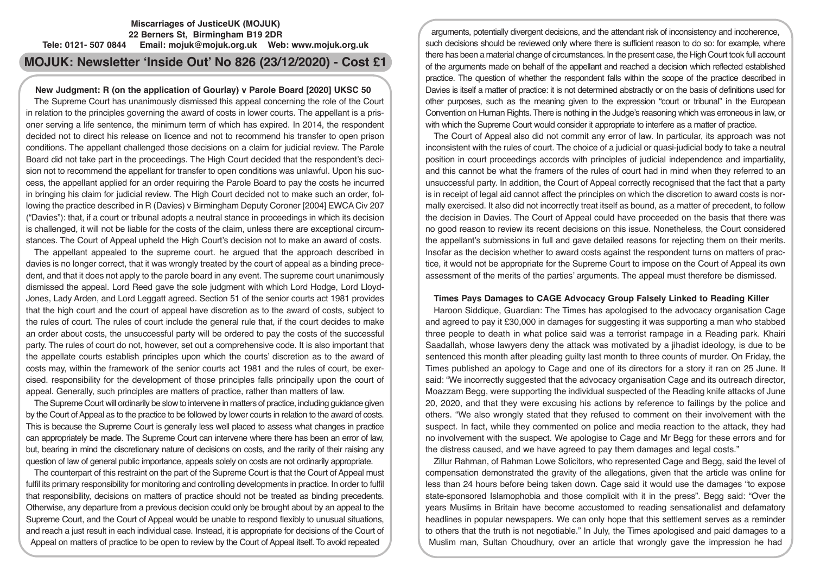# **Miscarriages of JusticeUK (MOJUK) 22 Berners St, Birmingham B19 2DR Tele: 0121- 507 0844 Email: mojuk@mojuk.org.uk Web: www.mojuk.org.uk**

# **MOJUK: Newsletter 'Inside Out' No 826 (23/12/2020) - Cost £1**

# **New Judgment: R (on the application of Gourlay) v Parole Board [2020] UKSC 50**

The Supreme Court has unanimously dismissed this appeal concerning the role of the Court in relation to the principles governing the award of costs in lower courts. The appellant is a prisoner serving a life sentence, the minimum term of which has expired. In 2014, the respondent decided not to direct his release on licence and not to recommend his transfer to open prison conditions. The appellant challenged those decisions on a claim for judicial review. The Parole Board did not take part in the proceedings. The High Court decided that the respondent's decision not to recommend the appellant for transfer to open conditions was unlawful. Upon his success, the appellant applied for an order requiring the Parole Board to pay the costs he incurred in bringing his claim for judicial review. The High Court decided not to make such an order, following the practice described in R (Davies) v Birmingham Deputy Coroner [2004] EWCA Civ 207 ("Davies"): that, if a court or tribunal adopts a neutral stance in proceedings in which its decision is challenged, it will not be liable for the costs of the claim, unless there are exceptional circumstances. The Court of Appeal upheld the High Court's decision not to make an award of costs.

The appellant appealed to the supreme court. he argued that the approach described in davies is no longer correct, that it was wrongly treated by the court of appeal as a binding precedent, and that it does not apply to the parole board in any event. The supreme court unanimously dismissed the appeal. Lord Reed gave the sole judgment with which Lord Hodge, Lord Lloyd-Jones, Lady Arden, and Lord Leggatt agreed. Section 51 of the senior courts act 1981 provides that the high court and the court of appeal have discretion as to the award of costs, subject to the rules of court. The rules of court include the general rule that, if the court decides to make an order about costs, the unsuccessful party will be ordered to pay the costs of the successful party. The rules of court do not, however, set out a comprehensive code. It is also important that the appellate courts establish principles upon which the courts' discretion as to the award of costs may, within the framework of the senior courts act 1981 and the rules of court, be exercised. responsibility for the development of those principles falls principally upon the court of appeal. Generally, such principles are matters of practice, rather than matters of law.

The Supreme Court will ordinarily be slow to intervene in matters of practice, including guidance given by the Court of Appeal as to the practice to be followed by lower courts in relation to the award of costs. This is because the Supreme Court is generally less well placed to assess what changes in practice can appropriately be made. The Supreme Court can intervene where there has been an error of law, but, bearing in mind the discretionary nature of decisions on costs, and the rarity of their raising any question of law of general public importance, appeals solely on costs are not ordinarily appropriate.

The counterpart of this restraint on the part of the Supreme Court is that the Court of Appeal must fulfil its primary responsibility for monitoring and controlling developments in practice. In order to fulfil that responsibility, decisions on matters of practice should not be treated as binding precedents. Otherwise, any departure from a previous decision could only be brought about by an appeal to the Supreme Court, and the Court of Appeal would be unable to respond flexibly to unusual situations, and reach a just result in each individual case. Instead, it is appropriate for decisions of the Court of Appeal on matters of practice to be open to review by the Court of Appeal itself. To avoid repeated

arguments, potentially divergent decisions, and the attendant risk of inconsistency and incoherence, such decisions should be reviewed only where there is sufficient reason to do so: for example, where there has been a material change of circumstances. In the present case, the High Court took full account of the arguments made on behalf of the appellant and reached a decision which reflected established practice. The question of whether the respondent falls within the scope of the practice described in Davies is itself a matter of practice: it is not determined abstractly or on the basis of definitions used for other purposes, such as the meaning given to the expression "court or tribunal" in the European Convention on Human Rights. There is nothing in the Judge's reasoning which was erroneous in law, or with which the Supreme Court would consider it appropriate to interfere as a matter of practice.

The Court of Appeal also did not commit any error of law. In particular, its approach was not inconsistent with the rules of court. The choice of a judicial or quasi-judicial body to take a neutral position in court proceedings accords with principles of judicial independence and impartiality, and this cannot be what the framers of the rules of court had in mind when they referred to an unsuccessful party. In addition, the Court of Appeal correctly recognised that the fact that a party is in receipt of legal aid cannot affect the principles on which the discretion to award costs is normally exercised. It also did not incorrectly treat itself as bound, as a matter of precedent, to follow the decision in Davies. The Court of Appeal could have proceeded on the basis that there was no good reason to review its recent decisions on this issue. Nonetheless, the Court considered the appellant's submissions in full and gave detailed reasons for rejecting them on their merits. Insofar as the decision whether to award costs against the respondent turns on matters of practice, it would not be appropriate for the Supreme Court to impose on the Court of Appeal its own assessment of the merits of the parties' arguments. The appeal must therefore be dismissed.

## **Times Pays Damages to CAGE Advocacy Group Falsely Linked to Reading Killer**

Haroon Siddique, Guardian: The Times has apologised to the advocacy organisation Cage and agreed to pay it £30,000 in damages for suggesting it was supporting a man who stabbed three people to death in what police said was a terrorist rampage in a Reading park. Khairi Saadallah, whose lawyers deny the attack was motivated by a jihadist ideology, is due to be sentenced this month after pleading guilty last month to three counts of murder. On Friday, the Times published an apology to Cage and one of its directors for a story it ran on 25 June. It said: "We incorrectly suggested that the advocacy organisation Cage and its outreach director, Moazzam Begg, were supporting the individual suspected of the Reading knife attacks of June 20, 2020, and that they were excusing his actions by reference to failings by the police and others. "We also wrongly stated that they refused to comment on their involvement with the suspect. In fact, while they commented on police and media reaction to the attack, they had no involvement with the suspect. We apologise to Cage and Mr Begg for these errors and for the distress caused, and we have agreed to pay them damages and legal costs."

Zillur Rahman, of Rahman Lowe Solicitors, who represented Cage and Begg, said the level of compensation demonstrated the gravity of the allegations, given that the article was online for less than 24 hours before being taken down. Cage said it would use the damages "to expose state-sponsored Islamophobia and those complicit with it in the press". Begg said: "Over the years Muslims in Britain have become accustomed to reading sensationalist and defamatory headlines in popular newspapers. We can only hope that this settlement serves as a reminder to others that the truth is not negotiable." In July, the Times apologised and paid damages to a Muslim man, Sultan Choudhury, over an article that wrongly gave the impression he had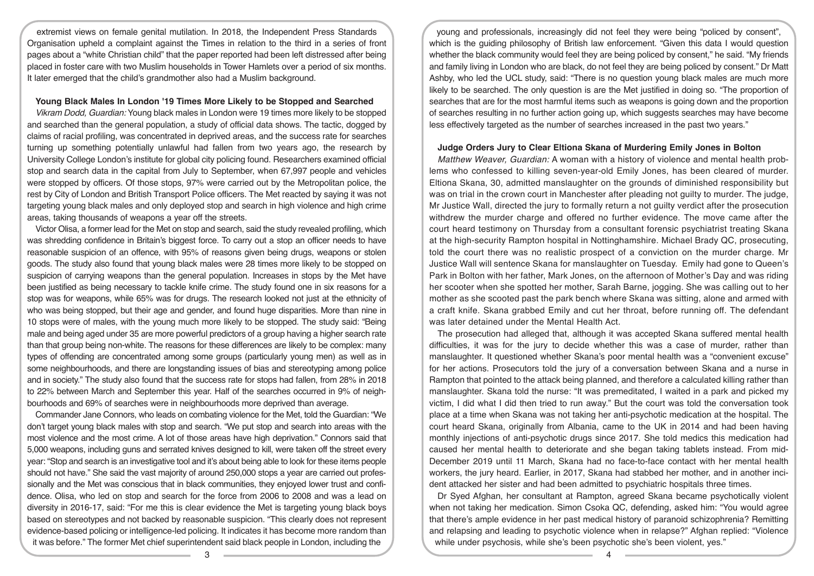extremist views on female genital mutilation. In 2018, the Independent Press Standards Organisation upheld a complaint against the Times in relation to the third in a series of front pages about a "white Christian child" that the paper reported had been left distressed after being placed in foster care with two Muslim households in Tower Hamlets over a period of six months. It later emerged that the child's grandmother also had a Muslim background.

#### **Young Black Males In London '19 Times More Likely to be Stopped and Searched**

*Vikram Dodd, Guardian:* Young black males in London were 19 times more likely to be stopped and searched than the general population, a study of official data shows. The tactic, dogged by claims of racial profiling, was concentrated in deprived areas, and the success rate for searches turning up something potentially unlawful had fallen from two years ago, the research by University College London's institute for global city policing found. Researchers examined official stop and search data in the capital from July to September, when 67,997 people and vehicles were stopped by officers. Of those stops, 97% were carried out by the Metropolitan police, the rest by City of London and British Transport Police officers. The Met reacted by saying it was not targeting young black males and only deployed stop and search in high violence and high crime areas, taking thousands of weapons a year off the streets.

Victor Olisa, a former lead for the Met on stop and search, said the study revealed profiling, which was shredding confidence in Britain's biggest force. To carry out a stop an officer needs to have reasonable suspicion of an offence, with 95% of reasons given being drugs, weapons or stolen goods. The study also found that young black males were 28 times more likely to be stopped on suspicion of carrying weapons than the general population. Increases in stops by the Met have been justified as being necessary to tackle knife crime. The study found one in six reasons for a stop was for weapons, while 65% was for drugs. The research looked not just at the ethnicity of who was being stopped, but their age and gender, and found huge disparities. More than nine in 10 stops were of males, with the young much more likely to be stopped. The study said: "Being male and being aged under 35 are more powerful predictors of a group having a higher search rate than that group being non-white. The reasons for these differences are likely to be complex: many types of offending are concentrated among some groups (particularly young men) as well as in some neighbourhoods, and there are longstanding issues of bias and stereotyping among police and in society." The study also found that the success rate for stops had fallen, from 28% in 2018 to 22% between March and September this year. Half of the searches occurred in 9% of neighbourhoods and 69% of searches were in neighbourhoods more deprived than average.

Commander Jane Connors, who leads on combating violence for the Met, told the Guardian: "We don't target young black males with stop and search. "We put stop and search into areas with the most violence and the most crime. A lot of those areas have high deprivation." Connors said that 5,000 weapons, including guns and serrated knives designed to kill, were taken off the street every year: "Stop and search is an investigative tool and it's about being able to look for these items people should not have." She said the vast majority of around 250,000 stops a year are carried out professionally and the Met was conscious that in black communities, they enjoyed lower trust and confidence. Olisa, who led on stop and search for the force from 2006 to 2008 and was a lead on diversity in 2016-17, said: "For me this is clear evidence the Met is targeting young black boys based on stereotypes and not backed by reasonable suspicion. "This clearly does not represent evidence-based policing or intelligence-led policing. It indicates it has become more random than it was before." The former Met chief superintendent said black people in London, including the

young and professionals, increasingly did not feel they were being "policed by consent", which is the guiding philosophy of British law enforcement. "Given this data I would question whether the black community would feel they are being policed by consent," he said. "My friends and family living in London who are black, do not feel they are being policed by consent." Dr Matt Ashby, who led the UCL study, said: "There is no question young black males are much more likely to be searched. The only question is are the Met justified in doing so. "The proportion of searches that are for the most harmful items such as weapons is going down and the proportion of searches resulting in no further action going up, which suggests searches may have become less effectively targeted as the number of searches increased in the past two years."

#### **Judge Orders Jury to Clear Eltiona Skana of Murdering Emily Jones in Bolton**

*Matthew Weaver, Guardian:* A woman with a history of violence and mental health problems who confessed to killing seven-year-old Emily Jones, has been cleared of murder. Eltiona Skana, 30, admitted manslaughter on the grounds of diminished responsibility but was on trial in the crown court in Manchester after pleading not guilty to murder. The judge, Mr Justice Wall, directed the jury to formally return a not guilty verdict after the prosecution withdrew the murder charge and offered no further evidence. The move came after the court heard testimony on Thursday from a consultant forensic psychiatrist treating Skana at the high-security Rampton hospital in Nottinghamshire. Michael Brady QC, prosecuting, told the court there was no realistic prospect of a conviction on the murder charge. Mr Justice Wall will sentence Skana for manslaughter on Tuesday. Emily had gone to Queen's Park in Bolton with her father, Mark Jones, on the afternoon of Mother's Day and was riding her scooter when she spotted her mother, Sarah Barne, jogging. She was calling out to her mother as she scooted past the park bench where Skana was sitting, alone and armed with a craft knife. Skana grabbed Emily and cut her throat, before running off. The defendant was later detained under the Mental Health Act.

The prosecution had alleged that, although it was accepted Skana suffered mental health difficulties, it was for the jury to decide whether this was a case of murder, rather than manslaughter. It questioned whether Skana's poor mental health was a "convenient excuse" for her actions. Prosecutors told the jury of a conversation between Skana and a nurse in Rampton that pointed to the attack being planned, and therefore a calculated killing rather than manslaughter. Skana told the nurse: "It was premeditated, I waited in a park and picked my victim, I did what I did then tried to run away." But the court was told the conversation took place at a time when Skana was not taking her anti-psychotic medication at the hospital. The court heard Skana, originally from Albania, came to the UK in 2014 and had been having monthly injections of anti-psychotic drugs since 2017. She told medics this medication had caused her mental health to deteriorate and she began taking tablets instead. From mid-December 2019 until 11 March, Skana had no face-to-face contact with her mental health workers, the jury heard. Earlier, in 2017, Skana had stabbed her mother, and in another incident attacked her sister and had been admitted to psychiatric hospitals three times.

Dr Syed Afghan, her consultant at Rampton, agreed Skana became psychotically violent when not taking her medication. Simon Csoka QC, defending, asked him: "You would agree that there's ample evidence in her past medical history of paranoid schizophrenia? Remitting and relapsing and leading to psychotic violence when in relapse?" Afghan replied: "Violence while under psychosis, while she's been psychotic she's been violent, yes."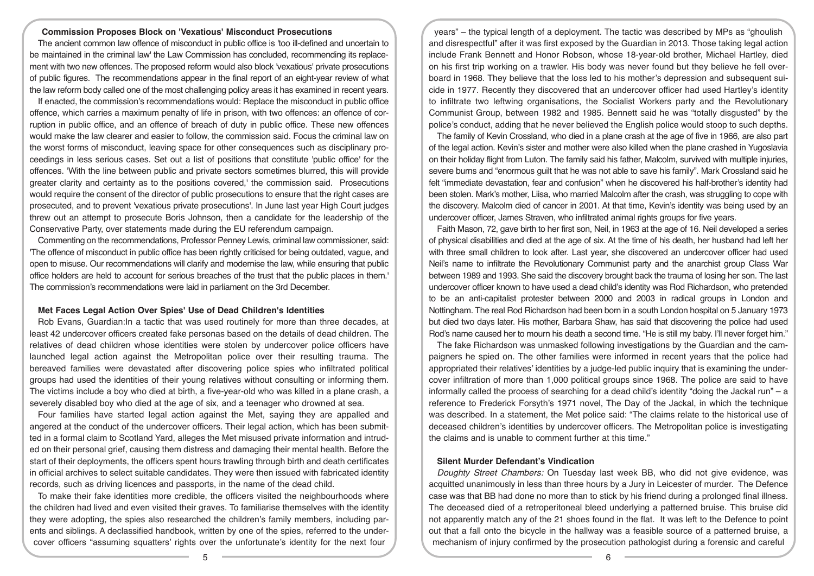#### **Commission Proposes Block on 'Vexatious' Misconduct Prosecutions**

The ancient common law offence of misconduct in public office is 'too ill-defined and uncertain to be maintained in the criminal law' the Law Commission has concluded, recommending its replacement with two new offences. The proposed reform would also block 'vexatious' private prosecutions of public figures. The recommendations appear in the final report of an eight-year review of what the law reform body called one of the most challenging policy areas it has examined in recent years.

If enacted, the commission's recommendations would: Replace the misconduct in public office offence, which carries a maximum penalty of life in prison, with two offences: an offence of corruption in public office, and an offence of breach of duty in public office. These new offences would make the law clearer and easier to follow, the commission said. Focus the criminal law on the worst forms of misconduct, leaving space for other consequences such as disciplinary proceedings in less serious cases. Set out a list of positions that constitute 'public office' for the offences. 'With the line between public and private sectors sometimes blurred, this will provide greater clarity and certainty as to the positions covered,' the commission said. Prosecutions would require the consent of the director of public prosecutions to ensure that the right cases are prosecuted, and to prevent 'vexatious private prosecutions'. In June last year High Court judges threw out an attempt to prosecute Boris Johnson, then a candidate for the leadership of the Conservative Party, over statements made during the EU referendum campaign.

Commenting on the recommendations, Professor Penney Lewis, criminal law commissioner, said: 'The offence of misconduct in public office has been rightly criticised for being outdated, vague, and open to misuse. Our recommendations will clarify and modernise the law, while ensuring that public office holders are held to account for serious breaches of the trust that the public places in them.' The commission's recommendations were laid in parliament on the 3rd December.

#### **Met Faces Legal Action Over Spies' Use of Dead Children's Identities**

Rob Evans, Guardian:In a tactic that was used routinely for more than three decades, at least 42 undercover officers created fake personas based on the details of dead children. The relatives of dead children whose identities were stolen by undercover police officers have launched legal action against the Metropolitan police over their resulting trauma. The bereaved families were devastated after discovering police spies who infiltrated political groups had used the identities of their young relatives without consulting or informing them. The victims include a boy who died at birth, a five-year-old who was killed in a plane crash, a severely disabled boy who died at the age of six, and a teenager who drowned at sea.

Four families have started legal action against the Met, saying they are appalled and angered at the conduct of the undercover officers. Their legal action, which has been submitted in a formal claim to Scotland Yard, alleges the Met misused private information and intruded on their personal grief, causing them distress and damaging their mental health. Before the start of their deployments, the officers spent hours trawling through birth and death certificates in official archives to select suitable candidates. They were then issued with fabricated identity records, such as driving licences and passports, in the name of the dead child.

To make their fake identities more credible, the officers visited the neighbourhoods where the children had lived and even visited their graves. To familiarise themselves with the identity they were adopting, the spies also researched the children's family members, including parents and siblings. A declassified handbook, written by one of the spies, referred to the undercover officers "assuming squatters' rights over the unfortunate's identity for the next four

years" – the typical length of a deployment. The tactic was described by MPs as "ghoulish and disrespectful" after it was first exposed by the Guardian in 2013. Those taking legal action include Frank Bennett and Honor Robson, whose 18-year-old brother, Michael Hartley, died on his first trip working on a trawler. His body was never found but they believe he fell overboard in 1968. They believe that the loss led to his mother's depression and subsequent suicide in 1977. Recently they discovered that an undercover officer had used Hartley's identity to infiltrate two leftwing organisations, the Socialist Workers party and the Revolutionary Communist Group, between 1982 and 1985. Bennett said he was "totally disgusted" by the police's conduct, adding that he never believed the English police would stoop to such depths.

The family of Kevin Crossland, who died in a plane crash at the age of five in 1966, are also part of the legal action. Kevin's sister and mother were also killed when the plane crashed in Yugoslavia on their holiday flight from Luton. The family said his father, Malcolm, survived with multiple injuries, severe burns and "enormous guilt that he was not able to save his family". Mark Crossland said he felt "immediate devastation, fear and confusion" when he discovered his half-brother's identity had been stolen. Mark's mother, Liisa, who married Malcolm after the crash, was struggling to cope with the discovery. Malcolm died of cancer in 2001. At that time, Kevin's identity was being used by an undercover officer, James Straven, who infiltrated animal rights groups for five years.

Faith Mason, 72, gave birth to her first son, Neil, in 1963 at the age of 16. Neil developed a series of physical disabilities and died at the age of six. At the time of his death, her husband had left her with three small children to look after. Last year, she discovered an undercover officer had used Neil's name to infiltrate the Revolutionary Communist party and the anarchist group Class War between 1989 and 1993. She said the discovery brought back the trauma of losing her son. The last undercover officer known to have used a dead child's identity was Rod Richardson, who pretended to be an anti-capitalist protester between 2000 and 2003 in radical groups in London and Nottingham. The real Rod Richardson had been born in a south London hospital on 5 January 1973 but died two days later. His mother, Barbara Shaw, has said that discovering the police had used Rod's name caused her to mourn his death a second time. "He is still my baby. I'll never forget him."

The fake Richardson was unmasked following investigations by the Guardian and the campaigners he spied on. The other families were informed in recent years that the police had appropriated their relatives' identities by a judge-led public inquiry that is examining the undercover infiltration of more than 1,000 political groups since 1968. The police are said to have informally called the process of searching for a dead child's identity "doing the Jackal run" – a reference to Frederick Forsyth's 1971 novel, The Day of the Jackal, in which the technique was described. In a statement, the Met police said: "The claims relate to the historical use of deceased children's identities by undercover officers. The Metropolitan police is investigating the claims and is unable to comment further at this time."

## **Silent Murder Defendant's Vindication**

*Doughty Street Chambers:* On Tuesday last week BB, who did not give evidence, was acquitted unanimously in less than three hours by a Jury in Leicester of murder. The Defence case was that BB had done no more than to stick by his friend during a prolonged final illness. The deceased died of a retroperitoneal bleed underlying a patterned bruise. This bruise did not apparently match any of the 21 shoes found in the flat. It was left to the Defence to point out that a fall onto the bicycle in the hallway was a feasible source of a patterned bruise, a mechanism of injury confirmed by the prosecution pathologist during a forensic and careful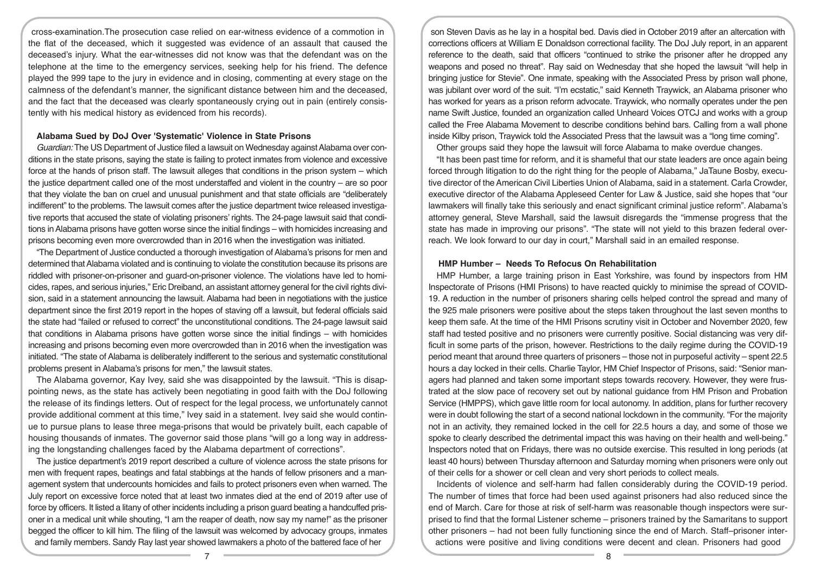cross-examination.The prosecution case relied on ear-witness evidence of a commotion in the flat of the deceased, which it suggested was evidence of an assault that caused the deceased's injury. What the ear-witnesses did not know was that the defendant was on the telephone at the time to the emergency services, seeking help for his friend. The defence played the 999 tape to the jury in evidence and in closing, commenting at every stage on the calmness of the defendant's manner, the significant distance between him and the deceased, and the fact that the deceased was clearly spontaneously crying out in pain (entirely consistently with his medical history as evidenced from his records).

## **Alabama Sued by DoJ Over 'Systematic' Violence in State Prisons**

*Guardian:* The US Department of Justice filed a lawsuit on Wednesday against Alabama over conditions in the state prisons, saying the state is failing to protect inmates from violence and excessive force at the hands of prison staff. The lawsuit alleges that conditions in the prison system – which the justice department called one of the most understaffed and violent in the country – are so poor that they violate the ban on cruel and unusual punishment and that state officials are "deliberately indifferent" to the problems. The lawsuit comes after the justice department twice released investigative reports that accused the state of violating prisoners' rights. The 24-page lawsuit said that conditions in Alabama prisons have gotten worse since the initial findings – with homicides increasing and prisons becoming even more overcrowded than in 2016 when the investigation was initiated.

"The Department of Justice conducted a thorough investigation of Alabama's prisons for men and determined that Alabama violated and is continuing to violate the constitution because its prisons are riddled with prisoner-on-prisoner and guard-on-prisoner violence. The violations have led to homicides, rapes, and serious injuries," Eric Dreiband, an assistant attorney general for the civil rights division, said in a statement announcing the lawsuit. Alabama had been in negotiations with the justice department since the first 2019 report in the hopes of staving off a lawsuit, but federal officials said the state had "failed or refused to correct" the unconstitutional conditions. The 24-page lawsuit said that conditions in Alabama prisons have gotten worse since the initial findings – with homicides increasing and prisons becoming even more overcrowded than in 2016 when the investigation was initiated. "The state of Alabama is deliberately indifferent to the serious and systematic constitutional problems present in Alabama's prisons for men," the lawsuit states.

The Alabama governor, Kay Ivey, said she was disappointed by the lawsuit. "This is disappointing news, as the state has actively been negotiating in good faith with the DoJ following the release of its findings letters. Out of respect for the legal process, we unfortunately cannot provide additional comment at this time," Ivey said in a statement. Ivey said she would continue to pursue plans to lease three mega-prisons that would be privately built, each capable of housing thousands of inmates. The governor said those plans "will go a long way in addressing the longstanding challenges faced by the Alabama department of corrections".

The justice department's 2019 report described a culture of violence across the state prisons for men with frequent rapes, beatings and fatal stabbings at the hands of fellow prisoners and a management system that undercounts homicides and fails to protect prisoners even when warned. The July report on excessive force noted that at least two inmates died at the end of 2019 after use of force by officers. It listed a litany of other incidents including a prison guard beating a handcuffed prisoner in a medical unit while shouting, "I am the reaper of death, now say my name!" as the prisoner begged the officer to kill him. The filing of the lawsuit was welcomed by advocacy groups, inmates and family members. Sandy Ray last year showed lawmakers a photo of the battered face of her

son Steven Davis as he lay in a hospital bed. Davis died in October 2019 after an altercation with corrections officers at William E Donaldson correctional facility. The DoJ July report, in an apparent reference to the death, said that officers "continued to strike the prisoner after he dropped any weapons and posed no threat". Ray said on Wednesday that she hoped the lawsuit "will help in bringing justice for Stevie". One inmate, speaking with the Associated Press by prison wall phone, was jubilant over word of the suit. "I'm ecstatic," said Kenneth Traywick, an Alabama prisoner who has worked for years as a prison reform advocate. Traywick, who normally operates under the pen name Swift Justice, founded an organization called Unheard Voices OTCJ and works with a group called the Free Alabama Movement to describe conditions behind bars. Calling from a wall phone inside Kilby prison, Traywick told the Associated Press that the lawsuit was a "long time coming".

Other groups said they hope the lawsuit will force Alabama to make overdue changes.

"It has been past time for reform, and it is shameful that our state leaders are once again being forced through litigation to do the right thing for the people of Alabama," JaTaune Bosby, executive director of the American Civil Liberties Union of Alabama, said in a statement. Carla Crowder, executive director of the Alabama Appleseed Center for Law & Justice, said she hopes that "our lawmakers will finally take this seriously and enact significant criminal justice reform". Alabama's attorney general, Steve Marshall, said the lawsuit disregards the "immense progress that the state has made in improving our prisons". "The state will not yield to this brazen federal overreach. We look forward to our day in court," Marshall said in an emailed response.

## **HMP Humber – Needs To Refocus On Rehabilitation**

HMP Humber, a large training prison in East Yorkshire, was found by inspectors from HM Inspectorate of Prisons (HMI Prisons) to have reacted quickly to minimise the spread of COVID-19. A reduction in the number of prisoners sharing cells helped control the spread and many of the 925 male prisoners were positive about the steps taken throughout the last seven months to keep them safe. At the time of the HMI Prisons scrutiny visit in October and November 2020, few staff had tested positive and no prisoners were currently positive. Social distancing was very difficult in some parts of the prison, however. Restrictions to the daily regime during the COVID-19 period meant that around three quarters of prisoners – those not in purposeful activity – spent 22.5 hours a day locked in their cells. Charlie Taylor, HM Chief Inspector of Prisons, said: "Senior managers had planned and taken some important steps towards recovery. However, they were frustrated at the slow pace of recovery set out by national guidance from HM Prison and Probation Service (HMPPS), which gave little room for local autonomy. In addition, plans for further recovery were in doubt following the start of a second national lockdown in the community. "For the majority not in an activity, they remained locked in the cell for 22.5 hours a day, and some of those we spoke to clearly described the detrimental impact this was having on their health and well-being." Inspectors noted that on Fridays, there was no outside exercise. This resulted in long periods (at least 40 hours) between Thursday afternoon and Saturday morning when prisoners were only out of their cells for a shower or cell clean and very short periods to collect meals.

Incidents of violence and self-harm had fallen considerably during the COVID-19 period. The number of times that force had been used against prisoners had also reduced since the end of March. Care for those at risk of self-harm was reasonable though inspectors were surprised to find that the formal Listener scheme – prisoners trained by the Samaritans to support other prisoners – had not been fully functioning since the end of March. Staff–prisoner interactions were positive and living conditions were decent and clean. Prisoners had good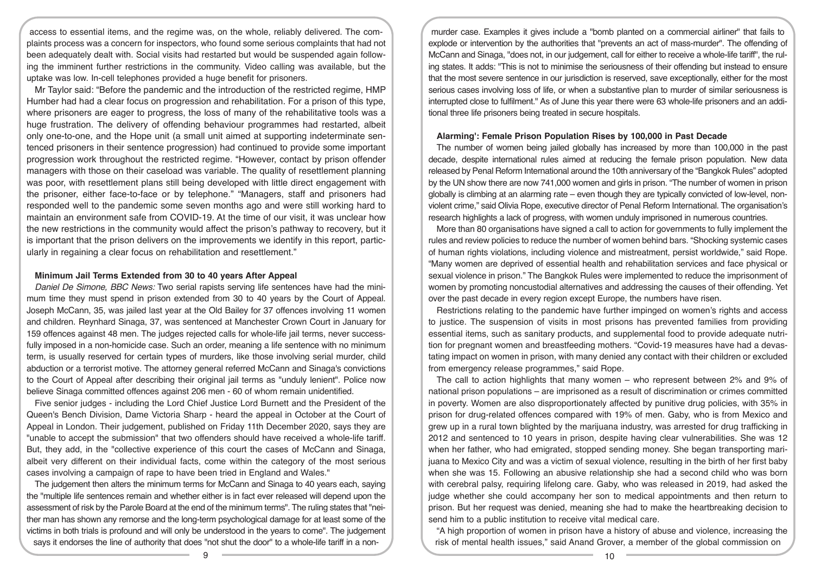access to essential items, and the regime was, on the whole, reliably delivered. The complaints process was a concern for inspectors, who found some serious complaints that had not been adequately dealt with. Social visits had restarted but would be suspended again following the imminent further restrictions in the community. Video calling was available, but the uptake was low. In-cell telephones provided a huge benefit for prisoners.

Mr Taylor said: "Before the pandemic and the introduction of the restricted regime, HMP Humber had had a clear focus on progression and rehabilitation. For a prison of this type, where prisoners are eager to progress, the loss of many of the rehabilitative tools was a huge frustration. The delivery of offending behaviour programmes had restarted, albeit only one-to-one, and the Hope unit (a small unit aimed at supporting indeterminate sentenced prisoners in their sentence progression) had continued to provide some important progression work throughout the restricted regime. "However, contact by prison offender managers with those on their caseload was variable. The quality of resettlement planning was poor, with resettlement plans still being developed with little direct engagement with the prisoner, either face-to-face or by telephone." "Managers, staff and prisoners had responded well to the pandemic some seven months ago and were still working hard to maintain an environment safe from COVID-19. At the time of our visit, it was unclear how the new restrictions in the community would affect the prison's pathway to recovery, but it is important that the prison delivers on the improvements we identify in this report, particularly in regaining a clear focus on rehabilitation and resettlement."

## **Minimum Jail Terms Extended from 30 to 40 years After Appeal**

*Daniel De Simone, BBC News:* Two serial rapists serving life sentences have had the minimum time they must spend in prison extended from 30 to 40 years by the Court of Appeal. Joseph McCann, 35, was jailed last year at the Old Bailey for 37 offences involving 11 women and children. Reynhard Sinaga, 37, was sentenced at Manchester Crown Court in January for 159 offences against 48 men. The judges rejected calls for whole-life jail terms, never successfully imposed in a non-homicide case. Such an order, meaning a life sentence with no minimum term, is usually reserved for certain types of murders, like those involving serial murder, child abduction or a terrorist motive. The attorney general referred McCann and Sinaga's convictions to the Court of Appeal after describing their original jail terms as "unduly lenient". Police now believe Sinaga committed offences against 206 men - 60 of whom remain unidentified.

Five senior judges - including the Lord Chief Justice Lord Burnett and the President of the Queen's Bench Division, Dame Victoria Sharp - heard the appeal in October at the Court of Appeal in London. Their judgement, published on Friday 11th December 2020, says they are "unable to accept the submission" that two offenders should have received a whole-life tariff. But, they add, in the "collective experience of this court the cases of McCann and Sinaga, albeit very different on their individual facts, come within the category of the most serious cases involving a campaign of rape to have been tried in England and Wales."

The judgement then alters the minimum terms for McCann and Sinaga to 40 years each, saying the "multiple life sentences remain and whether either is in fact ever released will depend upon the assessment of risk by the Parole Board at the end of the minimum terms". The ruling states that "neither man has shown any remorse and the long-term psychological damage for at least some of the victims in both trials is profound and will only be understood in the years to come". The judgement says it endorses the line of authority that does "not shut the door" to a whole-life tariff in a non-

murder case. Examples it gives include a "bomb planted on a commercial airliner" that fails to explode or intervention by the authorities that "prevents an act of mass-murder". The offending of McCann and Sinaga, "does not, in our judgement, call for either to receive a whole-life tariff", the ruling states. It adds: "This is not to minimise the seriousness of their offending but instead to ensure that the most severe sentence in our jurisdiction is reserved, save exceptionally, either for the most serious cases involving loss of life, or when a substantive plan to murder of similar seriousness is interrupted close to fulfilment." As of June this year there were 63 whole-life prisoners and an additional three life prisoners being treated in secure hospitals.

#### **Alarming': Female Prison Population Rises by 100,000 in Past Decade**

The number of women being jailed globally has increased by more than 100,000 in the past decade, despite international rules aimed at reducing the female prison population. New data released by Penal Reform International around the 10th anniversary of the "Bangkok Rules" adopted by the UN show there are now 741,000 women and girls in prison. "The number of women in prison globally is climbing at an alarming rate – even though they are typically convicted of low-level, nonviolent crime," said Olivia Rope, executive director of Penal Reform International. The organisation's research highlights a lack of progress, with women unduly imprisoned in numerous countries.

More than 80 organisations have signed a call to action for governments to fully implement the rules and review policies to reduce the number of women behind bars. "Shocking systemic cases of human rights violations, including violence and mistreatment, persist worldwide," said Rope. "Many women are deprived of essential health and rehabilitation services and face physical or sexual violence in prison." The Bangkok Rules were implemented to reduce the imprisonment of women by promoting noncustodial alternatives and addressing the causes of their offending. Yet over the past decade in every region except Europe, the numbers have risen.

Restrictions relating to the pandemic have further impinged on women's rights and access to justice. The suspension of visits in most prisons has prevented families from providing essential items, such as sanitary products, and supplemental food to provide adequate nutrition for pregnant women and breastfeeding mothers. "Covid-19 measures have had a devastating impact on women in prison, with many denied any contact with their children or excluded from emergency release programmes," said Rope.

The call to action highlights that many women – who represent between 2% and 9% of national prison populations – are imprisoned as a result of discrimination or crimes committed in poverty. Women are also disproportionately affected by punitive drug policies, with 35% in prison for drug-related offences compared with 19% of men. Gaby, who is from Mexico and grew up in a rural town blighted by the marijuana industry, was arrested for drug trafficking in 2012 and sentenced to 10 years in prison, despite having clear vulnerabilities. She was 12 when her father, who had emigrated, stopped sending money. She began transporting marijuana to Mexico City and was a victim of sexual violence, resulting in the birth of her first baby when she was 15. Following an abusive relationship she had a second child who was born with cerebral palsy, requiring lifelong care. Gaby, who was released in 2019, had asked the judge whether she could accompany her son to medical appointments and then return to prison. But her request was denied, meaning she had to make the heartbreaking decision to send him to a public institution to receive vital medical care.

"A high proportion of women in prison have a history of abuse and violence, increasing the risk of mental health issues," said Anand Grover, a member of the global commission on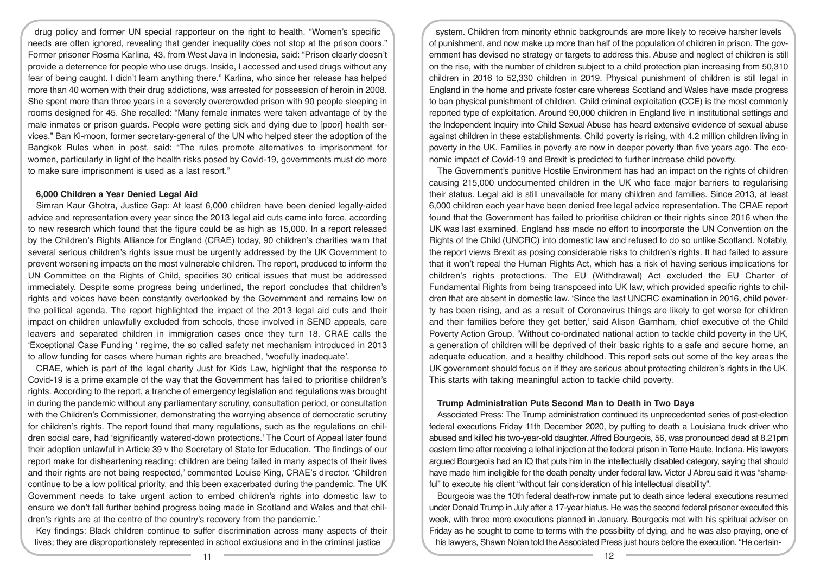drug policy and former UN special rapporteur on the right to health. "Women's specific needs are often ignored, revealing that gender inequality does not stop at the prison doors." Former prisoner Rosma Karlina, 43, from West Java in Indonesia, said: "Prison clearly doesn't provide a deterrence for people who use drugs. Inside, I accessed and used drugs without any fear of being caught. I didn't learn anything there." Karlina, who since her release has helped more than 40 women with their drug addictions, was arrested for possession of heroin in 2008. She spent more than three years in a severely overcrowded prison with 90 people sleeping in rooms designed for 45. She recalled: "Many female inmates were taken advantage of by the male inmates or prison guards. People were getting sick and dying due to [poor] health services." Ban Ki-moon, former secretary-general of the UN who helped steer the adoption of the Bangkok Rules when in post, said: "The rules promote alternatives to imprisonment for women, particularly in light of the health risks posed by Covid-19, governments must do more to make sure imprisonment is used as a last resort."

#### **6,000 Children a Year Denied Legal Aid**

Simran Kaur Ghotra, Justice Gap: At least 6,000 children have been denied legally-aided advice and representation every year since the 2013 legal aid cuts came into force, according to new research which found that the figure could be as high as 15,000. In a report released by the Children's Rights Alliance for England (CRAE) today, 90 children's charities warn that several serious children's rights issue must be urgently addressed by the UK Government to prevent worsening impacts on the most vulnerable children. The report, produced to inform the UN Committee on the Rights of Child, specifies 30 critical issues that must be addressed immediately. Despite some progress being underlined, the report concludes that children's rights and voices have been constantly overlooked by the Government and remains low on the political agenda. The report highlighted the impact of the 2013 legal aid cuts and their impact on children unlawfully excluded from schools, those involved in SEND appeals, care leavers and separated children in immigration cases once they turn 18. CRAE calls the 'Exceptional Case Funding ' regime, the so called safety net mechanism introduced in 2013 to allow funding for cases where human rights are breached, 'woefully inadequate'.

CRAE, which is part of the legal charity Just for Kids Law, highlight that the response to Covid-19 is a prime example of the way that the Government has failed to prioritise children's rights. According to the report, a tranche of emergency legislation and regulations was brought in during the pandemic without any parliamentary scrutiny, consultation period, or consultation with the Children's Commissioner, demonstrating the worrying absence of democratic scrutiny for children's rights. The report found that many regulations, such as the regulations on children social care, had 'significantly watered-down protections.' The Court of Appeal later found their adoption unlawful in Article 39 v the Secretary of State for Education. 'The findings of our report make for disheartening reading: children are being failed in many aspects of their lives and their rights are not being respected,' commented Louise King, CRAE's director. 'Children continue to be a low political priority, and this been exacerbated during the pandemic. The UK Government needs to take urgent action to embed children's rights into domestic law to ensure we don't fall further behind progress being made in Scotland and Wales and that children's rights are at the centre of the country's recovery from the pandemic.'

Key findings: Black children continue to suffer discrimination across many aspects of their lives; they are disproportionately represented in school exclusions and in the criminal justice

system. Children from minority ethnic backgrounds are more likely to receive harsher levels of punishment, and now make up more than half of the population of children in prison. The government has devised no strategy or targets to address this. Abuse and neglect of children is still on the rise, with the number of children subject to a child protection plan increasing from 50,310 children in 2016 to 52,330 children in 2019. Physical punishment of children is still legal in England in the home and private foster care whereas Scotland and Wales have made progress to ban physical punishment of children. Child criminal exploitation (CCE) is the most commonly reported type of exploitation. Around 90,000 children in England live in institutional settings and the Independent Inquiry into Child Sexual Abuse has heard extensive evidence of sexual abuse against children in these establishments. Child poverty is rising, with 4.2 million children living in poverty in the UK. Families in poverty are now in deeper poverty than five years ago. The economic impact of Covid-19 and Brexit is predicted to further increase child poverty.

The Government's punitive Hostile Environment has had an impact on the rights of children causing 215,000 undocumented children in the UK who face major barriers to regularising their status. Legal aid is still unavailable for many children and families. Since 2013, at least 6,000 children each year have been denied free legal advice representation. The CRAE report found that the Government has failed to prioritise children or their rights since 2016 when the UK was last examined. England has made no effort to incorporate the UN Convention on the Rights of the Child (UNCRC) into domestic law and refused to do so unlike Scotland. Notably, the report views Brexit as posing considerable risks to children's rights. It had failed to assure that it won't repeal the Human Rights Act, which has a risk of having serious implications for children's rights protections. The EU (Withdrawal) Act excluded the EU Charter of Fundamental Rights from being transposed into UK law, which provided specific rights to children that are absent in domestic law. 'Since the last UNCRC examination in 2016, child poverty has been rising, and as a result of Coronavirus things are likely to get worse for children and their families before they get better,' said Alison Garnham, chief executive of the Child Poverty Action Group. 'Without co-ordinated national action to tackle child poverty in the UK, a generation of children will be deprived of their basic rights to a safe and secure home, an adequate education, and a healthy childhood. This report sets out some of the key areas the UK government should focus on if they are serious about protecting children's rights in the UK. This starts with taking meaningful action to tackle child poverty.

#### **Trump Administration Puts Second Man to Death in Two Days**

Associated Press: The Trump administration continued its unprecedented series of post-election federal executions Friday 11th December 2020, by putting to death a Louisiana truck driver who abused and killed his two-year-old daughter. Alfred Bourgeois, 56, was pronounced dead at 8.21pm eastern time after receiving a lethal injection at the federal prison in Terre Haute, Indiana. His lawyers argued Bourgeois had an IQ that puts him in the intellectually disabled category, saying that should have made him ineligible for the death penalty under federal law. Victor J Abreu said it was "shameful" to execute his client "without fair consideration of his intellectual disability".

Bourgeois was the 10th federal death-row inmate put to death since federal executions resumed under Donald Trump in July after a 17-year hiatus. He was the second federal prisoner executed this week, with three more executions planned in January. Bourgeois met with his spiritual adviser on Friday as he sought to come to terms with the possibility of dying, and he was also praying, one of his lawyers, Shawn Nolan told the Associated Press just hours before the execution. "He certain-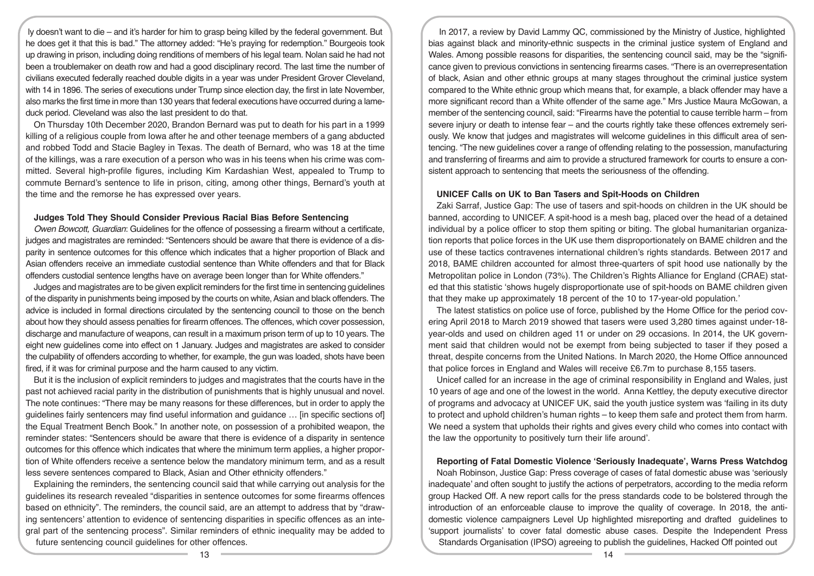ly doesn't want to die – and it's harder for him to grasp being killed by the federal government. But he does get it that this is bad." The attorney added: "He's praying for redemption." Bourgeois took up drawing in prison, including doing renditions of members of his legal team. Nolan said he had not been a troublemaker on death row and had a good disciplinary record. The last time the number of civilians executed federally reached double digits in a year was under President Grover Cleveland, with 14 in 1896. The series of executions under Trump since election day, the first in late November, also marks the first time in more than 130 years that federal executions have occurred during a lameduck period. Cleveland was also the last president to do that.

On Thursday 10th December 2020, Brandon Bernard was put to death for his part in a 1999 killing of a religious couple from Iowa after he and other teenage members of a gang abducted and robbed Todd and Stacie Bagley in Texas. The death of Bernard, who was 18 at the time of the killings, was a rare execution of a person who was in his teens when his crime was committed. Several high-profile figures, including Kim Kardashian West, appealed to Trump to commute Bernard's sentence to life in prison, citing, among other things, Bernard's youth at the time and the remorse he has expressed over years.

#### **Judges Told They Should Consider Previous Racial Bias Before Sentencing**

*Owen Bowcott, Guardian*: Guidelines for the offence of possessing a firearm without a certificate, judges and magistrates are reminded: "Sentencers should be aware that there is evidence of a disparity in sentence outcomes for this offence which indicates that a higher proportion of Black and Asian offenders receive an immediate custodial sentence than White offenders and that for Black offenders custodial sentence lengths have on average been longer than for White offenders."

Judges and magistrates are to be given explicit reminders for the first time in sentencing guidelines of the disparity in punishments being imposed by the courts on white, Asian and black offenders. The advice is included in formal directions circulated by the sentencing council to those on the bench about how they should assess penalties for firearm offences. The offences, which cover possession, discharge and manufacture of weapons, can result in a maximum prison term of up to 10 years. The eight new guidelines come into effect on 1 January. Judges and magistrates are asked to consider the culpability of offenders according to whether, for example, the gun was loaded, shots have been fired, if it was for criminal purpose and the harm caused to any victim.

But it is the inclusion of explicit reminders to judges and magistrates that the courts have in the past not achieved racial parity in the distribution of punishments that is highly unusual and novel. The note continues: "There may be many reasons for these differences, but in order to apply the guidelines fairly sentencers may find useful information and guidance … [in specific sections of] the Equal Treatment Bench Book." In another note, on possession of a prohibited weapon, the reminder states: "Sentencers should be aware that there is evidence of a disparity in sentence outcomes for this offence which indicates that where the minimum term applies, a higher proportion of White offenders receive a sentence below the mandatory minimum term, and as a result less severe sentences compared to Black, Asian and Other ethnicity offenders."

Explaining the reminders, the sentencing council said that while carrying out analysis for the guidelines its research revealed "disparities in sentence outcomes for some firearms offences based on ethnicity". The reminders, the council said, are an attempt to address that by "drawing sentencers' attention to evidence of sentencing disparities in specific offences as an integral part of the sentencing process". Similar reminders of ethnic inequality may be added to future sentencing council guidelines for other offences.

In 2017, a review by David Lammy QC, commissioned by the Ministry of Justice, highlighted bias against black and minority-ethnic suspects in the criminal justice system of England and Wales. Among possible reasons for disparities, the sentencing council said, may be the "significance given to previous convictions in sentencing firearms cases. "There is an overrepresentation of black, Asian and other ethnic groups at many stages throughout the criminal justice system compared to the White ethnic group which means that, for example, a black offender may have a more significant record than a White offender of the same age." Mrs Justice Maura McGowan, a member of the sentencing council, said: "Firearms have the potential to cause terrible harm – from severe injury or death to intense fear – and the courts rightly take these offences extremely seriously. We know that judges and magistrates will welcome guidelines in this difficult area of sentencing. "The new guidelines cover a range of offending relating to the possession, manufacturing and transferring of firearms and aim to provide a structured framework for courts to ensure a consistent approach to sentencing that meets the seriousness of the offending.

## **UNICEF Calls on UK to Ban Tasers and Spit-Hoods on Children**

Zaki Sarraf, Justice Gap: The use of tasers and spit-hoods on children in the UK should be banned, according to UNICEF. A spit-hood is a mesh bag, placed over the head of a detained individual by a police officer to stop them spiting or biting. The global humanitarian organization reports that police forces in the UK use them disproportionately on BAME children and the use of these tactics contravenes international children's rights standards. Between 2017 and 2018, BAME children accounted for almost three-quarters of spit hood use nationally by the Metropolitan police in London (73%). The Children's Rights Alliance for England (CRAE) stated that this statistic 'shows hugely disproportionate use of spit-hoods on BAME children given that they make up approximately 18 percent of the 10 to 17-year-old population.'

The latest statistics on police use of force, published by the Home Office for the period covering April 2018 to March 2019 showed that tasers were used 3,280 times against under-18 year-olds and used on children aged 11 or under on 29 occasions. In 2014, the UK government said that children would not be exempt from being subjected to taser if they posed a threat, despite concerns from the United Nations. In March 2020, the Home Office announced that police forces in England and Wales will receive £6.7m to purchase 8,155 tasers.

Unicef called for an increase in the age of criminal responsibility in England and Wales, just 10 years of age and one of the lowest in the world. Anna Kettley, the deputy executive director of programs and advocacy at UNICEF UK, said the youth justice system was 'failing in its duty to protect and uphold children's human rights – to keep them safe and protect them from harm. We need a system that upholds their rights and gives every child who comes into contact with the law the opportunity to positively turn their life around'.

#### **Reporting of Fatal Domestic Violence 'Seriously Inadequate', Warns Press Watchdog**

Noah Robinson, Justice Gap: Press coverage of cases of fatal domestic abuse was 'seriously inadequate' and often sought to justify the actions of perpetrators, according to the media reform group Hacked Off. A new report calls for the press standards code to be bolstered through the introduction of an enforceable clause to improve the quality of coverage. In 2018, the antidomestic violence campaigners Level Up highlighted misreporting and drafted guidelines to 'support journalists' to cover fatal domestic abuse cases. Despite the Independent Press Standards Organisation (IPSO) agreeing to publish the guidelines, Hacked Off pointed out